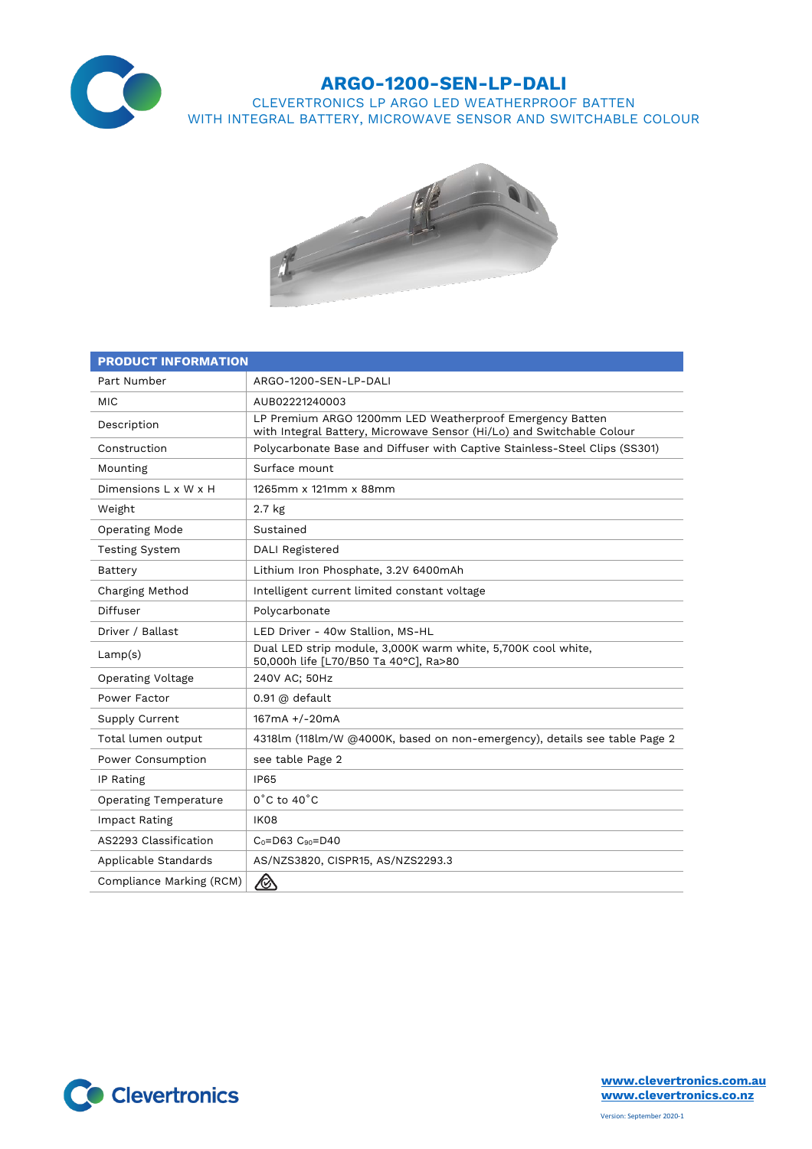

## **ARGO-1200-SEN-LP-DALI**

CLEVERTRONICS LP ARGO LED WEATHERPROOF BATTEN WITH INTEGRAL BATTERY, MICROWAVE SENSOR AND SWITCHABLE COLOUR



| <b>PRODUCT INFORMATION</b>   |                                                                                                                                   |  |  |  |
|------------------------------|-----------------------------------------------------------------------------------------------------------------------------------|--|--|--|
| Part Number                  | ARGO-1200-SEN-LP-DALI                                                                                                             |  |  |  |
| <b>MIC</b>                   | AUB02221240003                                                                                                                    |  |  |  |
| Description                  | LP Premium ARGO 1200mm LED Weatherproof Emergency Batten<br>with Integral Battery, Microwave Sensor (Hi/Lo) and Switchable Colour |  |  |  |
| Construction                 | Polycarbonate Base and Diffuser with Captive Stainless-Steel Clips (SS301)                                                        |  |  |  |
| Mounting                     | Surface mount                                                                                                                     |  |  |  |
| Dimensions L x W x H         | 1265mm x 121mm x 88mm                                                                                                             |  |  |  |
| Weight                       | 2.7 <sub>kg</sub>                                                                                                                 |  |  |  |
| <b>Operating Mode</b>        | Sustained                                                                                                                         |  |  |  |
| <b>Testing System</b>        | <b>DALI Registered</b>                                                                                                            |  |  |  |
| Battery                      | Lithium Iron Phosphate, 3.2V 6400mAh                                                                                              |  |  |  |
| Charging Method              | Intelligent current limited constant voltage                                                                                      |  |  |  |
| Diffuser                     | Polycarbonate                                                                                                                     |  |  |  |
| Driver / Ballast             | LED Driver - 40w Stallion, MS-HL                                                                                                  |  |  |  |
| Lamp(s)                      | Dual LED strip module, 3,000K warm white, 5,700K cool white,<br>50,000h life [L70/B50 Ta 40°C], Ra>80                             |  |  |  |
| <b>Operating Voltage</b>     | 240V AC; 50Hz                                                                                                                     |  |  |  |
| Power Factor                 | $0.91$ @ default                                                                                                                  |  |  |  |
| Supply Current               | 167mA +/-20mA                                                                                                                     |  |  |  |
| Total lumen output           | 4318lm (118lm/W @4000K, based on non-emergency), details see table Page 2                                                         |  |  |  |
| Power Consumption            | see table Page 2                                                                                                                  |  |  |  |
| IP Rating                    | <b>IP65</b>                                                                                                                       |  |  |  |
| <b>Operating Temperature</b> | $0^{\circ}$ C to 40 $^{\circ}$ C                                                                                                  |  |  |  |
| Impact Rating                | IK08                                                                                                                              |  |  |  |
| AS2293 Classification        | $C_0 = D63$ $C_{90} = D40$                                                                                                        |  |  |  |
| Applicable Standards         | AS/NZS3820, CISPR15, AS/NZS2293.3                                                                                                 |  |  |  |
| Compliance Marking (RCM)     |                                                                                                                                   |  |  |  |